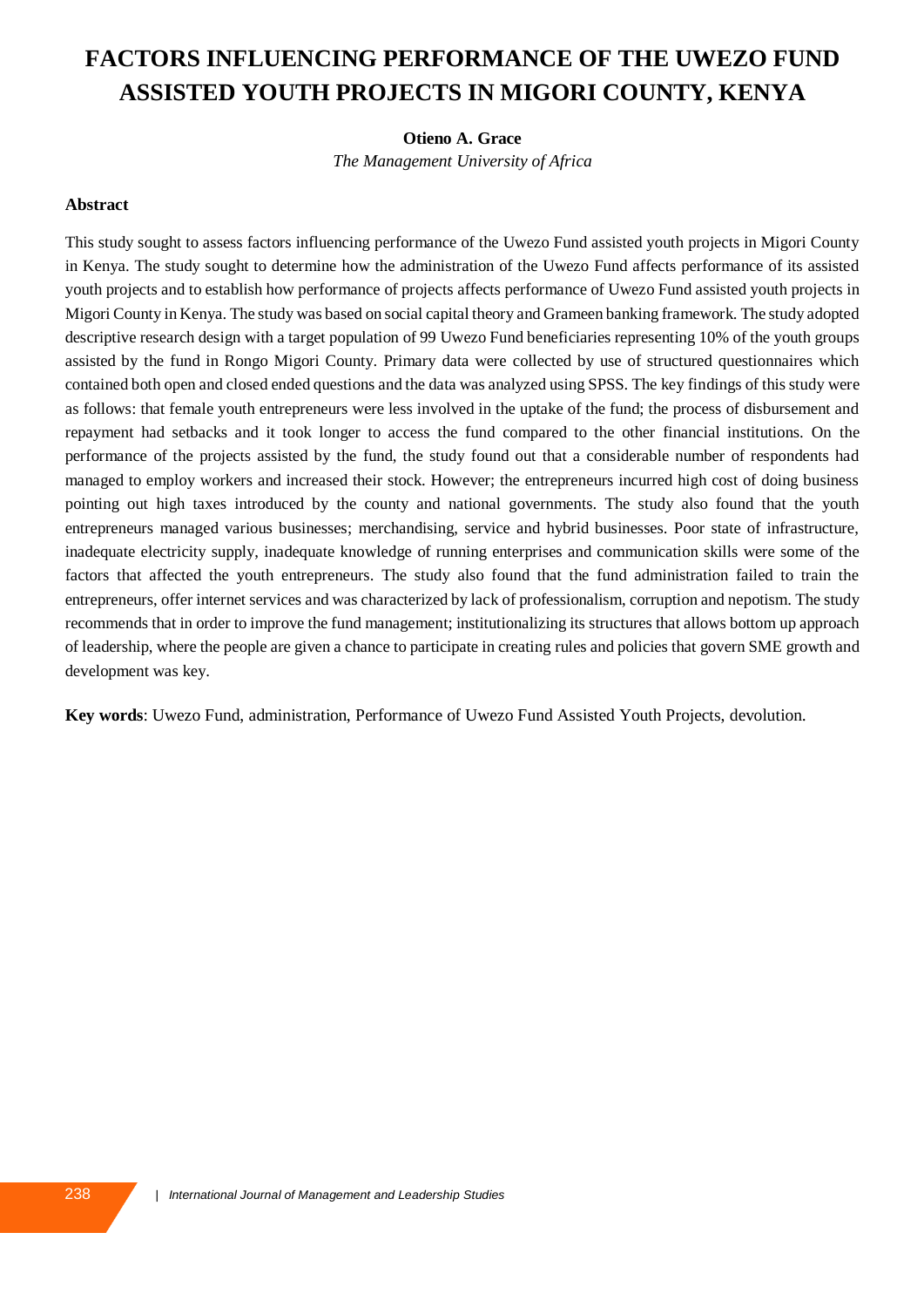# **FACTORS INFLUENCING PERFORMANCE OF THE UWEZO FUND ASSISTED YOUTH PROJECTS IN MIGORI COUNTY, KENYA**

#### **Otieno A. Grace**

*The Management University of Africa*

#### **Abstract**

This study sought to assess factors influencing performance of the Uwezo Fund assisted youth projects in Migori County in Kenya. The study sought to determine how the administration of the Uwezo Fund affects performance of its assisted youth projects and to establish how performance of projects affects performance of Uwezo Fund assisted youth projects in Migori County in Kenya. The study was based on social capital theory and Grameen banking framework. The study adopted descriptive research design with a target population of 99 Uwezo Fund beneficiaries representing 10% of the youth groups assisted by the fund in Rongo Migori County. Primary data were collected by use of structured questionnaires which contained both open and closed ended questions and the data was analyzed using SPSS. The key findings of this study were as follows: that female youth entrepreneurs were less involved in the uptake of the fund; the process of disbursement and repayment had setbacks and it took longer to access the fund compared to the other financial institutions. On the performance of the projects assisted by the fund, the study found out that a considerable number of respondents had managed to employ workers and increased their stock. However; the entrepreneurs incurred high cost of doing business pointing out high taxes introduced by the county and national governments. The study also found that the youth entrepreneurs managed various businesses; merchandising, service and hybrid businesses. Poor state of infrastructure, inadequate electricity supply, inadequate knowledge of running enterprises and communication skills were some of the factors that affected the youth entrepreneurs. The study also found that the fund administration failed to train the entrepreneurs, offer internet services and was characterized by lack of professionalism, corruption and nepotism. The study recommends that in order to improve the fund management; institutionalizing its structures that allows bottom up approach of leadership, where the people are given a chance to participate in creating rules and policies that govern SME growth and development was key.

**Key words**: Uwezo Fund, administration, Performance of Uwezo Fund Assisted Youth Projects, devolution.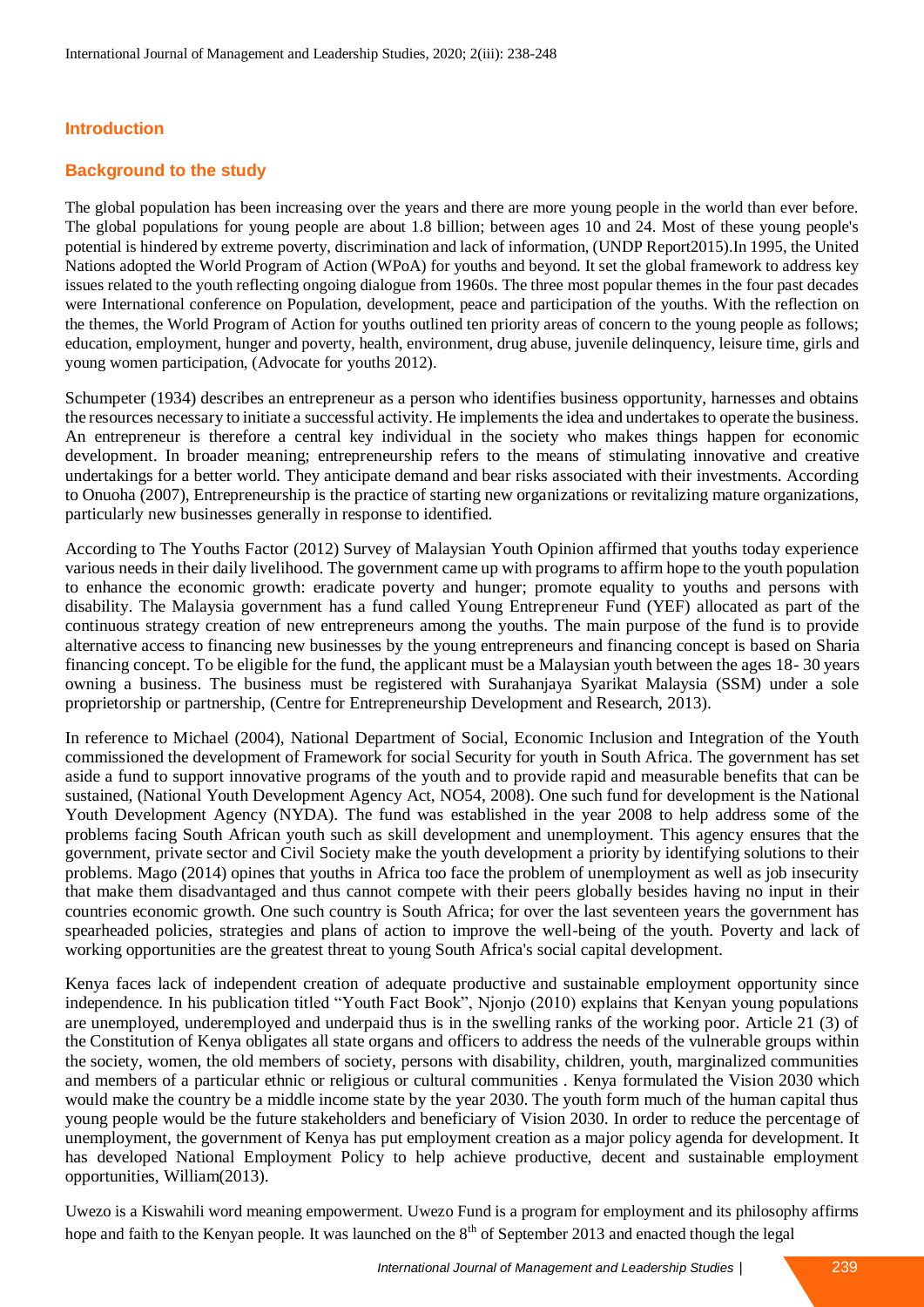## **Introduction**

## **Background to the study**

The global population has been increasing over the years and there are more young people in the world than ever before. The global populations for young people are about 1.8 billion; between ages 10 and 24. Most of these young people's potential is hindered by extreme poverty, discrimination and lack of information, (UNDP Report2015).In 1995, the United Nations adopted the World Program of Action (WPoA) for youths and beyond. It set the global framework to address key issues related to the youth reflecting ongoing dialogue from 1960s. The three most popular themes in the four past decades were International conference on Population, development, peace and participation of the youths. With the reflection on the themes, the World Program of Action for youths outlined ten priority areas of concern to the young people as follows; education, employment, hunger and poverty, health, environment, drug abuse, juvenile delinquency, leisure time, girls and young women participation, (Advocate for youths 2012).

Schumpeter (1934) describes an entrepreneur as a person who identifies business opportunity, harnesses and obtains the resources necessary to initiate a successful activity. He implements the idea and undertakes to operate the business. An entrepreneur is therefore a central key individual in the society who makes things happen for economic development. In broader meaning; entrepreneurship refers to the means of stimulating innovative and creative undertakings for a better world. They anticipate demand and bear risks associated with their investments. According to Onuoha (2007), Entrepreneurship is the practice of starting new organizations or revitalizing mature organizations, particularly new businesses generally in response to identified.

According to The Youths Factor (2012) Survey of Malaysian Youth Opinion affirmed that youths today experience various needs in their daily livelihood. The government came up with programs to affirm hope to the youth population to enhance the economic growth: eradicate poverty and hunger; promote equality to youths and persons with disability. The Malaysia government has a fund called Young Entrepreneur Fund (YEF) allocated as part of the continuous strategy creation of new entrepreneurs among the youths. The main purpose of the fund is to provide alternative access to financing new businesses by the young entrepreneurs and financing concept is based on Sharia financing concept. To be eligible for the fund, the applicant must be a Malaysian youth between the ages 18- 30 years owning a business. The business must be registered with Surahanjaya Syarikat Malaysia (SSM) under a sole proprietorship or partnership, (Centre for Entrepreneurship Development and Research, 2013).

In reference to Michael (2004), National Department of Social, Economic Inclusion and Integration of the Youth commissioned the development of Framework for social Security for youth in South Africa. The government has set aside a fund to support innovative programs of the youth and to provide rapid and measurable benefits that can be sustained, (National Youth Development Agency Act, NO54, 2008). One such fund for development is the National Youth Development Agency (NYDA). The fund was established in the year 2008 to help address some of the problems facing South African youth such as skill development and unemployment. This agency ensures that the government, private sector and Civil Society make the youth development a priority by identifying solutions to their problems. Mago (2014) opines that youths in Africa too face the problem of unemployment as well as job insecurity that make them disadvantaged and thus cannot compete with their peers globally besides having no input in their countries economic growth. One such country is South Africa; for over the last seventeen years the government has spearheaded policies, strategies and plans of action to improve the well-being of the youth. Poverty and lack of working opportunities are the greatest threat to young South Africa's social capital development.

Kenya faces lack of independent creation of adequate productive and sustainable employment opportunity since independence. In his publication titled "Youth Fact Book", Njonjo (2010) explains that Kenyan young populations are unemployed, underemployed and underpaid thus is in the swelling ranks of the working poor. Article 21 (3) of the Constitution of Kenya obligates all state organs and officers to address the needs of the vulnerable groups within the society, women, the old members of society, persons with disability, children, youth, marginalized communities and members of a particular ethnic or religious or cultural communities . Kenya formulated the Vision 2030 which would make the country be a middle income state by the year 2030. The youth form much of the human capital thus young people would be the future stakeholders and beneficiary of Vision 2030. In order to reduce the percentage of unemployment, the government of Kenya has put employment creation as a major policy agenda for development. It has developed National Employment Policy to help achieve productive, decent and sustainable employment opportunities, William(2013).

Uwezo is a Kiswahili word meaning empowerment. Uwezo Fund is a program for employment and its philosophy affirms hope and faith to the Kenyan people. It was launched on the 8<sup>th</sup> of September 2013 and enacted though the legal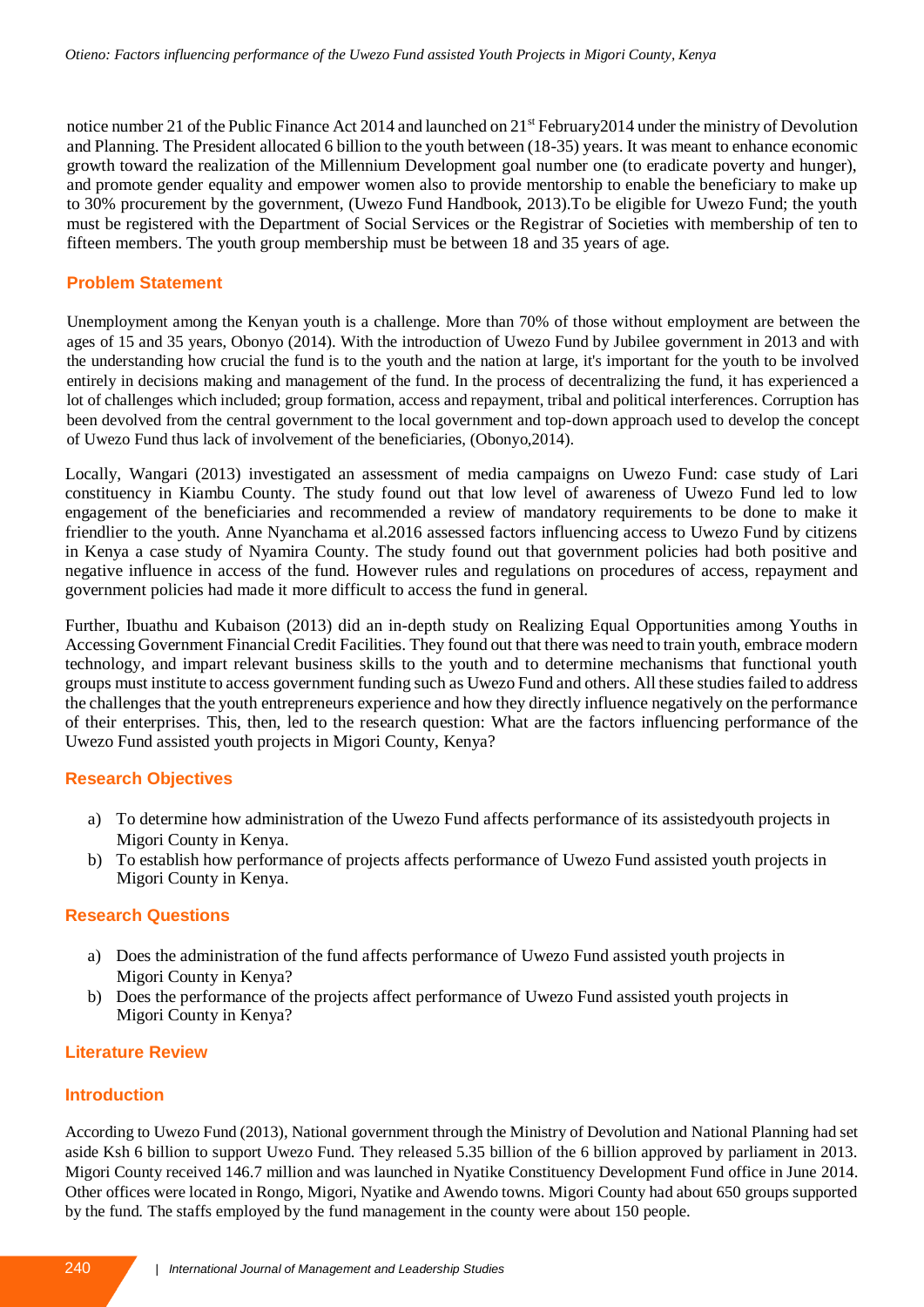notice number 21 of the Public Finance Act 2014 and launched on 21<sup>st</sup> February 2014 under the ministry of Devolution and Planning. The President allocated 6 billion to the youth between (18-35) years. It was meant to enhance economic growth toward the realization of the Millennium Development goal number one (to eradicate poverty and hunger), and promote gender equality and empower women also to provide mentorship to enable the beneficiary to make up to 30% procurement by the government, (Uwezo Fund Handbook, 2013).To be eligible for Uwezo Fund; the youth must be registered with the Department of Social Services or the Registrar of Societies with membership of ten to fifteen members. The youth group membership must be between 18 and 35 years of age.

## **Problem Statement**

Unemployment among the Kenyan youth is a challenge. More than 70% of those without employment are between the ages of 15 and 35 years, Obonyo (2014). With the introduction of Uwezo Fund by Jubilee government in 2013 and with the understanding how crucial the fund is to the youth and the nation at large, it's important for the youth to be involved entirely in decisions making and management of the fund. In the process of decentralizing the fund, it has experienced a lot of challenges which included; group formation, access and repayment, tribal and political interferences. Corruption has been devolved from the central government to the local government and top-down approach used to develop the concept of Uwezo Fund thus lack of involvement of the beneficiaries, (Obonyo,2014).

Locally, Wangari (2013) investigated an assessment of media campaigns on Uwezo Fund: case study of Lari constituency in Kiambu County. The study found out that low level of awareness of Uwezo Fund led to low engagement of the beneficiaries and recommended a review of mandatory requirements to be done to make it friendlier to the youth. Anne Nyanchama et al.2016 assessed factors influencing access to Uwezo Fund by citizens in Kenya a case study of Nyamira County. The study found out that government policies had both positive and negative influence in access of the fund. However rules and regulations on procedures of access, repayment and government policies had made it more difficult to access the fund in general.

Further, Ibuathu and Kubaison (2013) did an in-depth study on Realizing Equal Opportunities among Youths in Accessing Government Financial Credit Facilities. They found out that there was need to train youth, embrace modern technology, and impart relevant business skills to the youth and to determine mechanisms that functional youth groups must institute to access government funding such as Uwezo Fund and others. All these studies failed to address the challenges that the youth entrepreneurs experience and how they directly influence negatively on the performance of their enterprises. This, then, led to the research question: What are the factors influencing performance of the Uwezo Fund assisted youth projects in Migori County, Kenya?

# **Research Objectives**

- a) To determine how administration of the Uwezo Fund affects performance of its assistedyouth projects in Migori County in Kenya.
- b) To establish how performance of projects affects performance of Uwezo Fund assisted youth projects in Migori County in Kenya.

# **Research Questions**

- a) Does the administration of the fund affects performance of Uwezo Fund assisted youth projects in Migori County in Kenya?
- b) Does the performance of the projects affect performance of Uwezo Fund assisted youth projects in Migori County in Kenya?

# **Literature Review**

### **Introduction**

According to Uwezo Fund (2013), National government through the Ministry of Devolution and National Planning had set aside Ksh 6 billion to support Uwezo Fund. They released 5.35 billion of the 6 billion approved by parliament in 2013. Migori County received 146.7 million and was launched in Nyatike Constituency Development Fund office in June 2014. Other offices were located in Rongo, Migori, Nyatike and Awendo towns. Migori County had about 650 groups supported by the fund. The staffs employed by the fund management in the county were about 150 people.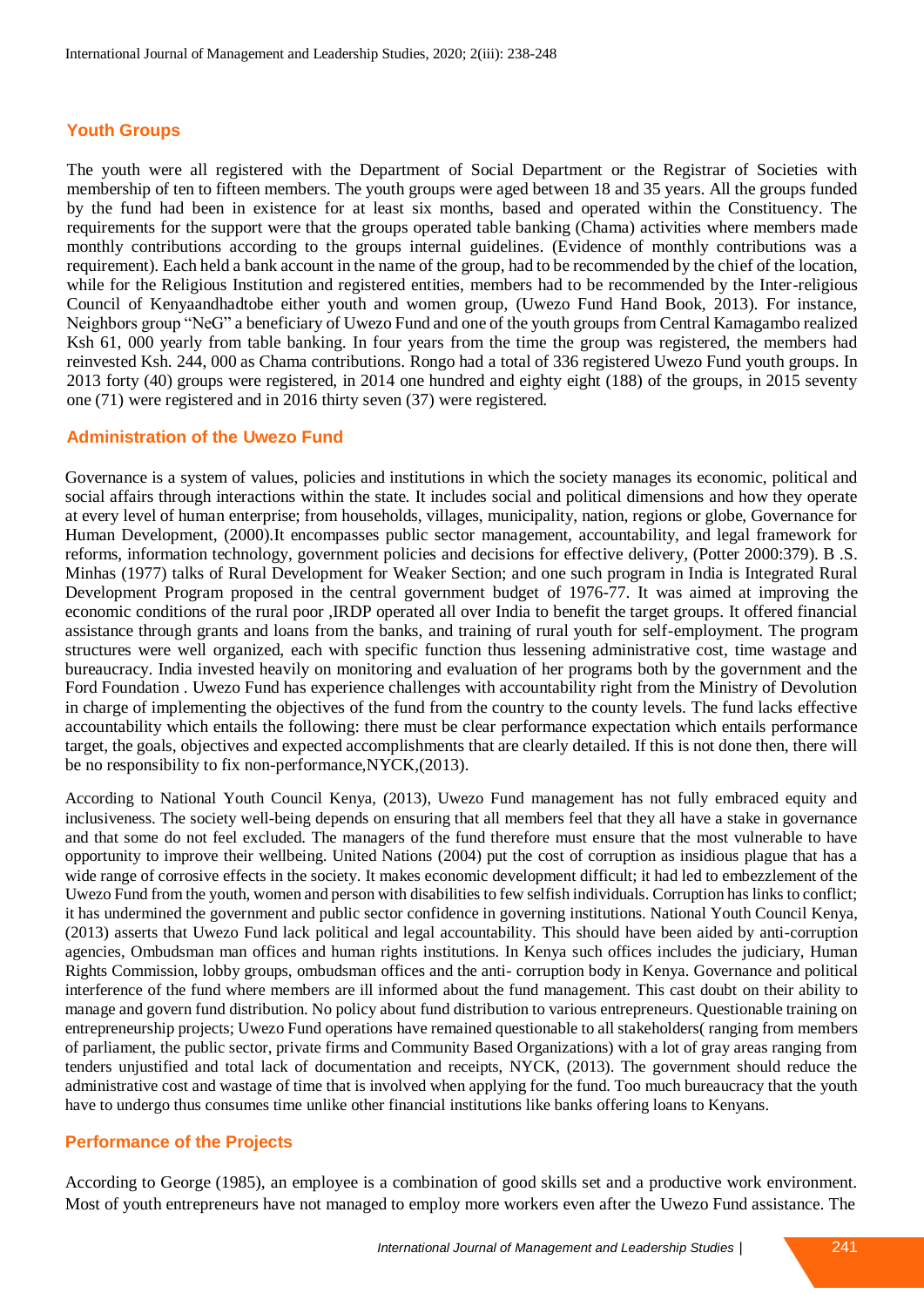## **Youth Groups**

The youth were all registered with the Department of Social Department or the Registrar of Societies with membership of ten to fifteen members. The youth groups were aged between 18 and 35 years. All the groups funded by the fund had been in existence for at least six months, based and operated within the Constituency. The requirements for the support were that the groups operated table banking (Chama) activities where members made monthly contributions according to the groups internal guidelines. (Evidence of monthly contributions was a requirement). Each held a bank account in the name of the group, had to be recommended by the chief of the location, while for the Religious Institution and registered entities, members had to be recommended by the Inter-religious Council of Kenyaandhadtobe either youth and women group, (Uwezo Fund Hand Book, 2013). For instance, Neighbors group "NeG" a beneficiary of Uwezo Fund and one of the youth groups from Central Kamagambo realized Ksh 61, 000 yearly from table banking. In four years from the time the group was registered, the members had reinvested Ksh. 244, 000 as Chama contributions. Rongo had a total of 336 registered Uwezo Fund youth groups. In 2013 forty (40) groups were registered, in 2014 one hundred and eighty eight (188) of the groups, in 2015 seventy one (71) were registered and in 2016 thirty seven (37) were registered.

## **Administration of the Uwezo Fund**

Governance is a system of values, policies and institutions in which the society manages its economic, political and social affairs through interactions within the state. It includes social and political dimensions and how they operate at every level of human enterprise; from households, villages, municipality, nation, regions or globe, Governance for Human Development, (2000).It encompasses public sector management, accountability, and legal framework for reforms, information technology, government policies and decisions for effective delivery, (Potter 2000:379). B .S. Minhas (1977) talks of Rural Development for Weaker Section; and one such program in India is Integrated Rural Development Program proposed in the central government budget of 1976-77. It was aimed at improving the economic conditions of the rural poor ,IRDP operated all over India to benefit the target groups. It offered financial assistance through grants and loans from the banks, and training of rural youth for self-employment. The program structures were well organized, each with specific function thus lessening administrative cost, time wastage and bureaucracy. India invested heavily on monitoring and evaluation of her programs both by the government and the Ford Foundation . Uwezo Fund has experience challenges with accountability right from the Ministry of Devolution in charge of implementing the objectives of the fund from the country to the county levels. The fund lacks effective accountability which entails the following: there must be clear performance expectation which entails performance target, the goals, objectives and expected accomplishments that are clearly detailed. If this is not done then, there will be no responsibility to fix non-performance,NYCK,(2013).

According to National Youth Council Kenya, (2013), Uwezo Fund management has not fully embraced equity and inclusiveness. The society well-being depends on ensuring that all members feel that they all have a stake in governance and that some do not feel excluded. The managers of the fund therefore must ensure that the most vulnerable to have opportunity to improve their wellbeing. United Nations (2004) put the cost of corruption as insidious plague that has a wide range of corrosive effects in the society. It makes economic development difficult; it had led to embezzlement of the Uwezo Fund from the youth, women and person with disabilities to few selfish individuals. Corruption has links to conflict; it has undermined the government and public sector confidence in governing institutions. National Youth Council Kenya, (2013) asserts that Uwezo Fund lack political and legal accountability. This should have been aided by anti-corruption agencies, Ombudsman man offices and human rights institutions. In Kenya such offices includes the judiciary, Human Rights Commission, lobby groups, ombudsman offices and the anti- corruption body in Kenya. Governance and political interference of the fund where members are ill informed about the fund management. This cast doubt on their ability to manage and govern fund distribution. No policy about fund distribution to various entrepreneurs. Questionable training on entrepreneurship projects; Uwezo Fund operations have remained questionable to all stakeholders( ranging from members of parliament, the public sector, private firms and Community Based Organizations) with a lot of gray areas ranging from tenders unjustified and total lack of documentation and receipts, NYCK, (2013). The government should reduce the administrative cost and wastage of time that is involved when applying for the fund. Too much bureaucracy that the youth have to undergo thus consumes time unlike other financial institutions like banks offering loans to Kenyans.

### **Performance of the Projects**

According to George (1985), an employee is a combination of good skills set and a productive work environment. Most of youth entrepreneurs have not managed to employ more workers even after the Uwezo Fund assistance. The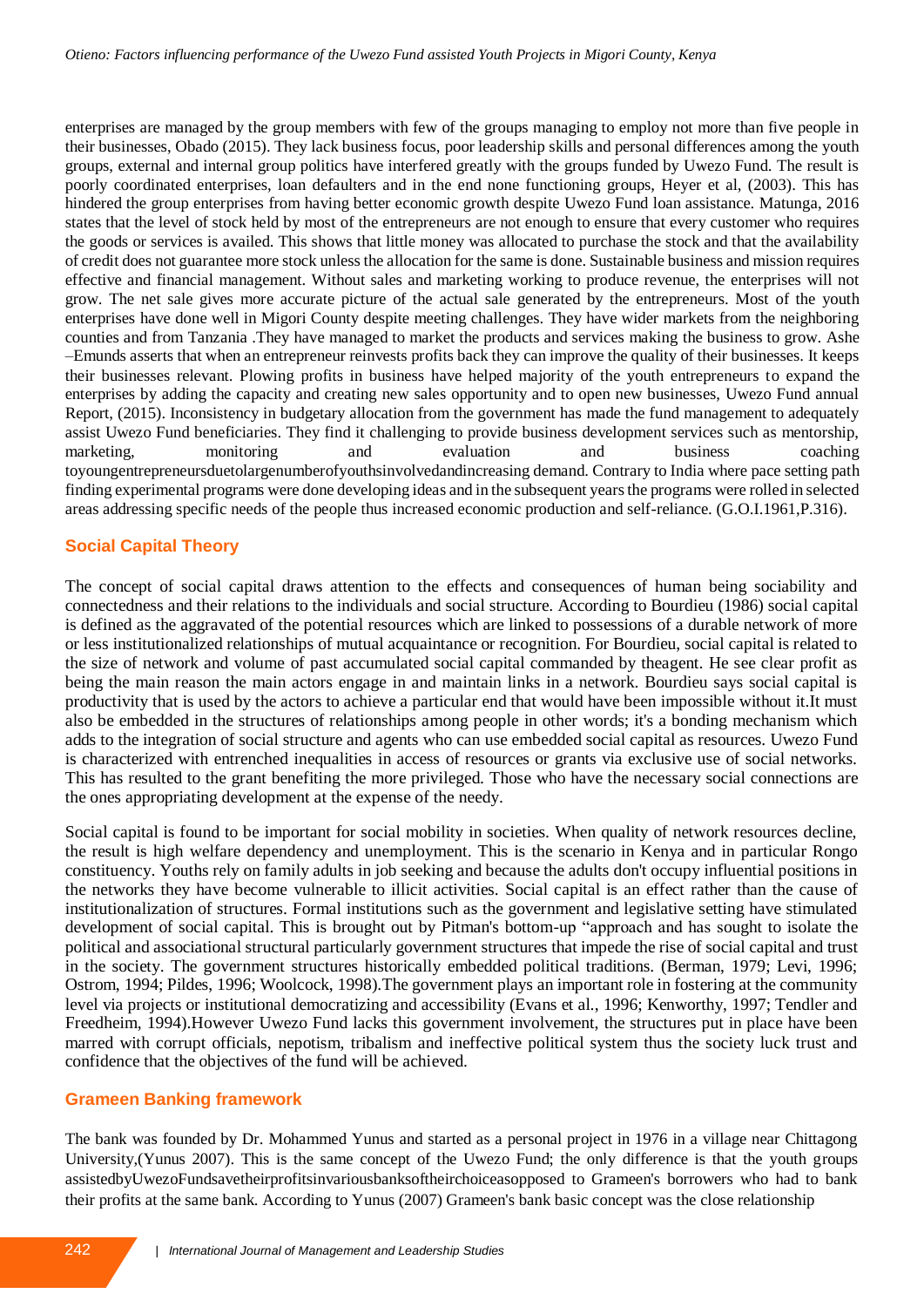enterprises are managed by the group members with few of the groups managing to employ not more than five people in their businesses, Obado (2015). They lack business focus, poor leadership skills and personal differences among the youth groups, external and internal group politics have interfered greatly with the groups funded by Uwezo Fund. The result is poorly coordinated enterprises, loan defaulters and in the end none functioning groups, Heyer et al, (2003). This has hindered the group enterprises from having better economic growth despite Uwezo Fund loan assistance. Matunga, 2016 states that the level of stock held by most of the entrepreneurs are not enough to ensure that every customer who requires the goods or services is availed. This shows that little money was allocated to purchase the stock and that the availability of credit does not guarantee more stock unless the allocation for the same is done. Sustainable business and mission requires effective and financial management. Without sales and marketing working to produce revenue, the enterprises will not grow. The net sale gives more accurate picture of the actual sale generated by the entrepreneurs. Most of the youth enterprises have done well in Migori County despite meeting challenges. They have wider markets from the neighboring counties and from Tanzania .They have managed to market the products and services making the business to grow. Ashe –Emunds asserts that when an entrepreneur reinvests profits back they can improve the quality of their businesses. It keeps their businesses relevant. Plowing profits in business have helped majority of the youth entrepreneurs to expand the enterprises by adding the capacity and creating new sales opportunity and to open new businesses, Uwezo Fund annual Report, (2015). Inconsistency in budgetary allocation from the government has made the fund management to adequately assist Uwezo Fund beneficiaries. They find it challenging to provide business development services such as mentorship, marketing, monitoring and evaluation and business coaching toyoungentrepreneursduetolargenumberofyouthsinvolvedandincreasing demand. Contrary to India where pace setting path finding experimental programs were done developing ideas and in the subsequent years the programs were rolled in selected areas addressing specific needs of the people thus increased economic production and self-reliance. (G.O.I.1961,P.316).

# **Social Capital Theory**

The concept of social capital draws attention to the effects and consequences of human being sociability and connectedness and their relations to the individuals and social structure. According to Bourdieu (1986) social capital is defined as the aggravated of the potential resources which are linked to possessions of a durable network of more or less institutionalized relationships of mutual acquaintance or recognition. For Bourdieu, social capital is related to the size of network and volume of past accumulated social capital commanded by theagent. He see clear profit as being the main reason the main actors engage in and maintain links in a network. Bourdieu says social capital is productivity that is used by the actors to achieve a particular end that would have been impossible without it.It must also be embedded in the structures of relationships among people in other words; it's a bonding mechanism which adds to the integration of social structure and agents who can use embedded social capital as resources. Uwezo Fund is characterized with entrenched inequalities in access of resources or grants via exclusive use of social networks. This has resulted to the grant benefiting the more privileged. Those who have the necessary social connections are the ones appropriating development at the expense of the needy.

Social capital is found to be important for social mobility in societies. When quality of network resources decline, the result is high welfare dependency and unemployment. This is the scenario in Kenya and in particular Rongo constituency. Youths rely on family adults in job seeking and because the adults don't occupy influential positions in the networks they have become vulnerable to illicit activities. Social capital is an effect rather than the cause of institutionalization of structures. Formal institutions such as the government and legislative setting have stimulated development of social capital. This is brought out by Pitman's bottom-up "approach and has sought to isolate the political and associational structural particularly government structures that impede the rise of social capital and trust in the society. The government structures historically embedded political traditions. (Berman, 1979; Levi, 1996; Ostrom, 1994; Pildes, 1996; Woolcock, 1998).The government plays an important role in fostering at the community level via projects or institutional democratizing and accessibility (Evans et al., 1996; Kenworthy, 1997; Tendler and Freedheim, 1994).However Uwezo Fund lacks this government involvement, the structures put in place have been marred with corrupt officials, nepotism, tribalism and ineffective political system thus the society luck trust and confidence that the objectives of the fund will be achieved.

# **Grameen Banking framework**

The bank was founded by Dr. Mohammed Yunus and started as a personal project in 1976 in a village near Chittagong University,(Yunus 2007). This is the same concept of the Uwezo Fund; the only difference is that the youth groups assistedbyUwezoFundsavetheirprofitsinvariousbanksoftheirchoiceasopposed to Grameen's borrowers who had to bank their profits at the same bank. According to Yunus (2007) Grameen's bank basic concept was the close relationship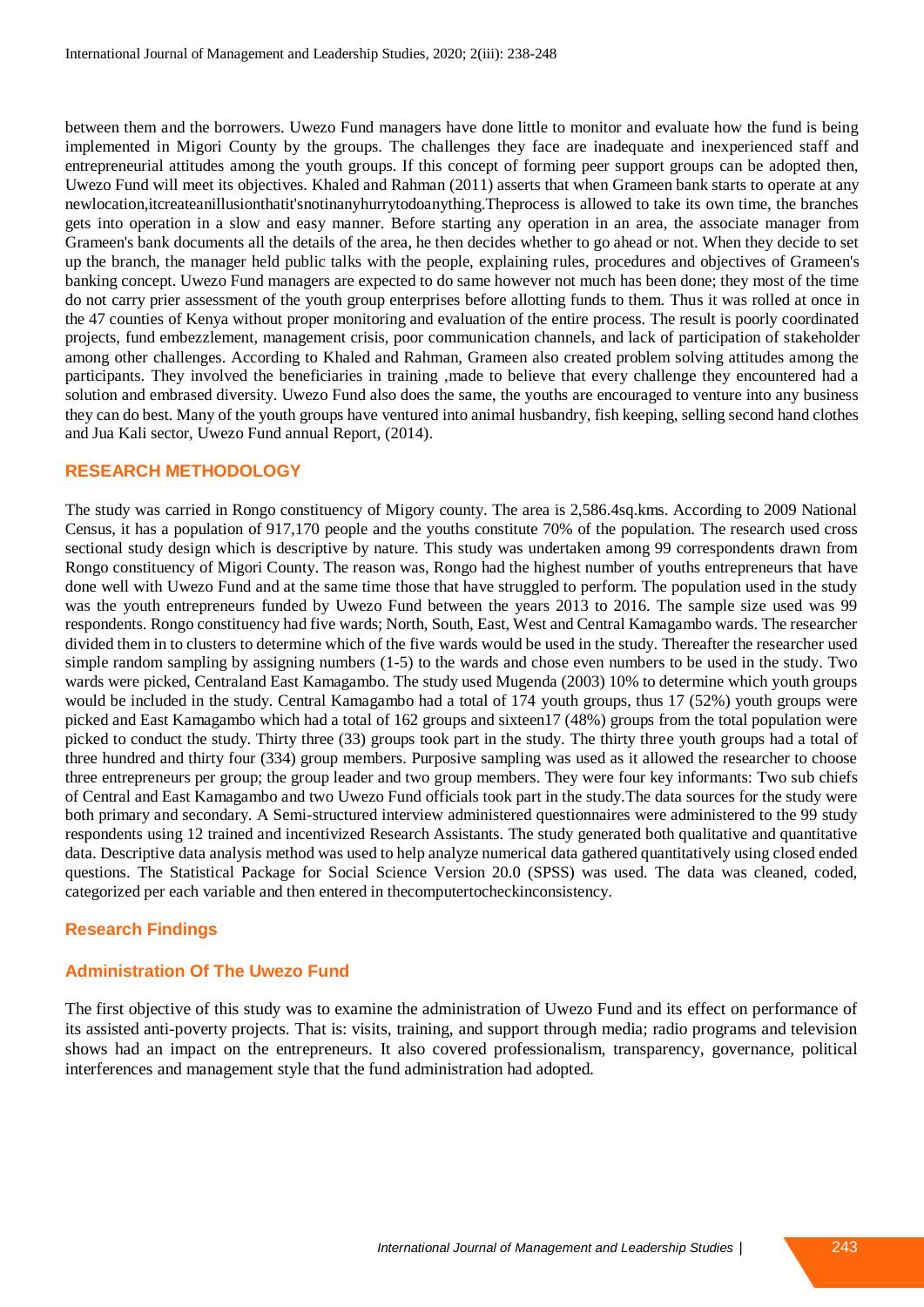between them and the borrowers. Uwezo Fund managers have done little to monitor and evaluate how the fund is being implemented in Migori County by the groups. The challenges they face are inadequate and inexperienced staff and entrepreneurial attitudes among the youth groups. If this concept of forming peer support groups can be adopted then, Uwezo Fund will meet its objectives. Khaled and Rahman (2011) asserts that when Grameen bank starts to operate at any newlocation,itcreateanillusionthatit'snotinanyhurrytodoanything.Theprocess is allowed to take its own time, the branches gets into operation in a slow and easy manner. Before starting any operation in an area, the associate manager from Grameen's bank documents all the details of the area, he then decides whether to go ahead or not. When they decide to set up the branch, the manager held public talks with the people, explaining rules, procedures and objectives of Grameen's banking concept. Uwezo Fund managers are expected to do same however not much has been done; they most of the time do not carry prier assessment of the youth group enterprises before allotting funds to them. Thus it was rolled at once in the 47 counties of Kenya without proper monitoring and evaluation of the entire process. The result is poorly coordinated projects, fund embezzlement, management crisis, poor communication channels, and lack of participation of stakeholder among other challenges. According to Khaled and Rahman, Grameen also created problem solving attitudes among the participants. They involved the beneficiaries in training ,made to believe that every challenge they encountered had a solution and embrased diversity. Uwezo Fund also does the same, the youths are encouraged to venture into any business they can do best. Many of the youth groups have ventured into animal husbandry, fish keeping, selling second hand clothes and Jua Kali sector, Uwezo Fund annual Report, (2014).

### **RESEARCH METHODOLOGY**

The study was carried in Rongo constituency of Migory county. The area is 2,586.4sq.kms. According to 2009 National Census, it has a population of 917,170 people and the youths constitute 70% of the population. The research used cross sectional study design which is descriptive by nature. This study was undertaken among 99 correspondents drawn from Rongo constituency of Migori County. The reason was, Rongo had the highest number of youths entrepreneurs that have done well with Uwezo Fund and at the same time those that have struggled to perform. The population used in the study was the youth entrepreneurs funded by Uwezo Fund between the years 2013 to 2016. The sample size used was 99 respondents. Rongo constituency had five wards; North, South, East, West and Central Kamagambo wards. The researcher divided them in to clusters to determine which of the five wards would be used in the study. Thereafter the researcher used simple random sampling by assigning numbers (1-5) to the wards and chose even numbers to be used in the study. Two wards were picked, Centraland East Kamagambo. The study used Mugenda (2003) 10% to determine which youth groups would be included in the study. Central Kamagambo had a total of 174 youth groups, thus 17 (52%) youth groups were picked and East Kamagambo which had a total of 162 groups and sixteen17 (48%) groups from the total population were picked to conduct the study. Thirty three (33) groups took part in the study. The thirty three youth groups had a total of three hundred and thirty four (334) group members. Purposive sampling was used as it allowed the researcher to choose three entrepreneurs per group; the group leader and two group members. They were four key informants: Two sub chiefs of Central and East Kamagambo and two Uwezo Fund officials took part in the study.The data sources for the study were both primary and secondary. A Semi-structured interview administered questionnaires were administered to the 99 study respondents using 12 trained and incentivized Research Assistants. The study generated both qualitative and quantitative data. Descriptive data analysis method was used to help analyze numerical data gathered quantitatively using closed ended questions. The Statistical Package for Social Science Version 20.0 (SPSS) was used. The data was cleaned, coded, categorized per each variable and then entered in thecomputertocheckinconsistency.

### **Research Findings**

### **Administration Of The Uwezo Fund**

The first objective of this study was to examine the administration of Uwezo Fund and its effect on performance of its assisted anti-poverty projects. That is: visits, training, and support through media; radio programs and television shows had an impact on the entrepreneurs. It also covered professionalism, transparency, governance, political interferences and management style that the fund administration had adopted.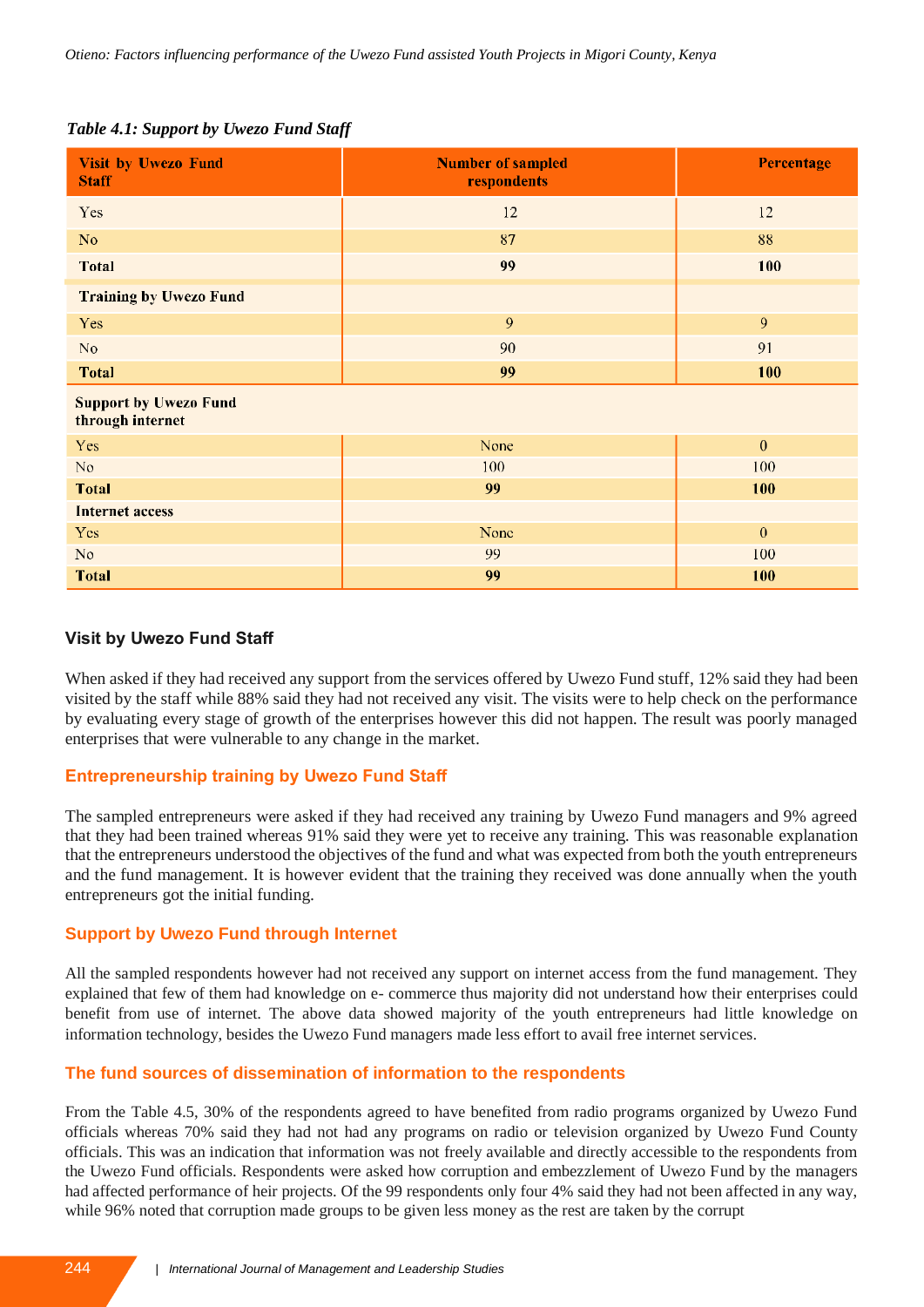## *Table 4.1: Support by Uwezo Fund Staff*

| <b>Visit by Uwezo Fund</b><br><b>Staff</b>       | <b>Number of sampled</b><br>respondents | Percentage   |  |
|--------------------------------------------------|-----------------------------------------|--------------|--|
| Yes                                              | 12                                      | $12 \,$      |  |
| N <sub>o</sub>                                   | 87                                      | 88           |  |
| <b>Total</b>                                     | 99                                      | 100          |  |
| <b>Training by Uwezo Fund</b>                    |                                         |              |  |
| Yes                                              | 9                                       | 9            |  |
| No                                               | 90                                      | 91           |  |
| <b>Total</b>                                     | 99                                      | 100          |  |
| <b>Support by Uwezo Fund</b><br>through internet |                                         |              |  |
| Yes                                              | None                                    | $\mathbf{0}$ |  |
| No                                               | 100                                     | 100          |  |
| <b>Total</b>                                     | 99                                      | 100          |  |
| <b>Internet access</b>                           |                                         |              |  |
| Yes                                              | None                                    | $\mathbf{0}$ |  |
| No                                               | 99                                      | 100          |  |
| <b>Total</b>                                     | 99                                      | 100          |  |

# **Visit by Uwezo Fund Staff**

When asked if they had received any support from the services offered by Uwezo Fund stuff, 12% said they had been visited by the staff while 88% said they had not received any visit. The visits were to help check on the performance by evaluating every stage of growth of the enterprises however this did not happen. The result was poorly managed enterprises that were vulnerable to any change in the market.

# **Entrepreneurship training by Uwezo Fund Staff**

The sampled entrepreneurs were asked if they had received any training by Uwezo Fund managers and 9% agreed that they had been trained whereas 91% said they were yet to receive any training. This was reasonable explanation that the entrepreneurs understood the objectives of the fund and what was expected from both the youth entrepreneurs and the fund management. It is however evident that the training they received was done annually when the youth entrepreneurs got the initial funding.

# **Support by Uwezo Fund through Internet**

All the sampled respondents however had not received any support on internet access from the fund management. They explained that few of them had knowledge on e- commerce thus majority did not understand how their enterprises could benefit from use of internet. The above data showed majority of the youth entrepreneurs had little knowledge on information technology, besides the Uwezo Fund managers made less effort to avail free internet services.

# **The fund sources of dissemination of information to the respondents**

From the Table 4.5, 30% of the respondents agreed to have benefited from radio programs organized by Uwezo Fund officials whereas 70% said they had not had any programs on radio or television organized by Uwezo Fund County officials. This was an indication that information was not freely available and directly accessible to the respondents from the Uwezo Fund officials. Respondents were asked how corruption and embezzlement of Uwezo Fund by the managers had affected performance of heir projects. Of the 99 respondents only four 4% said they had not been affected in any way, while 96% noted that corruption made groups to be given less money as the rest are taken by the corrupt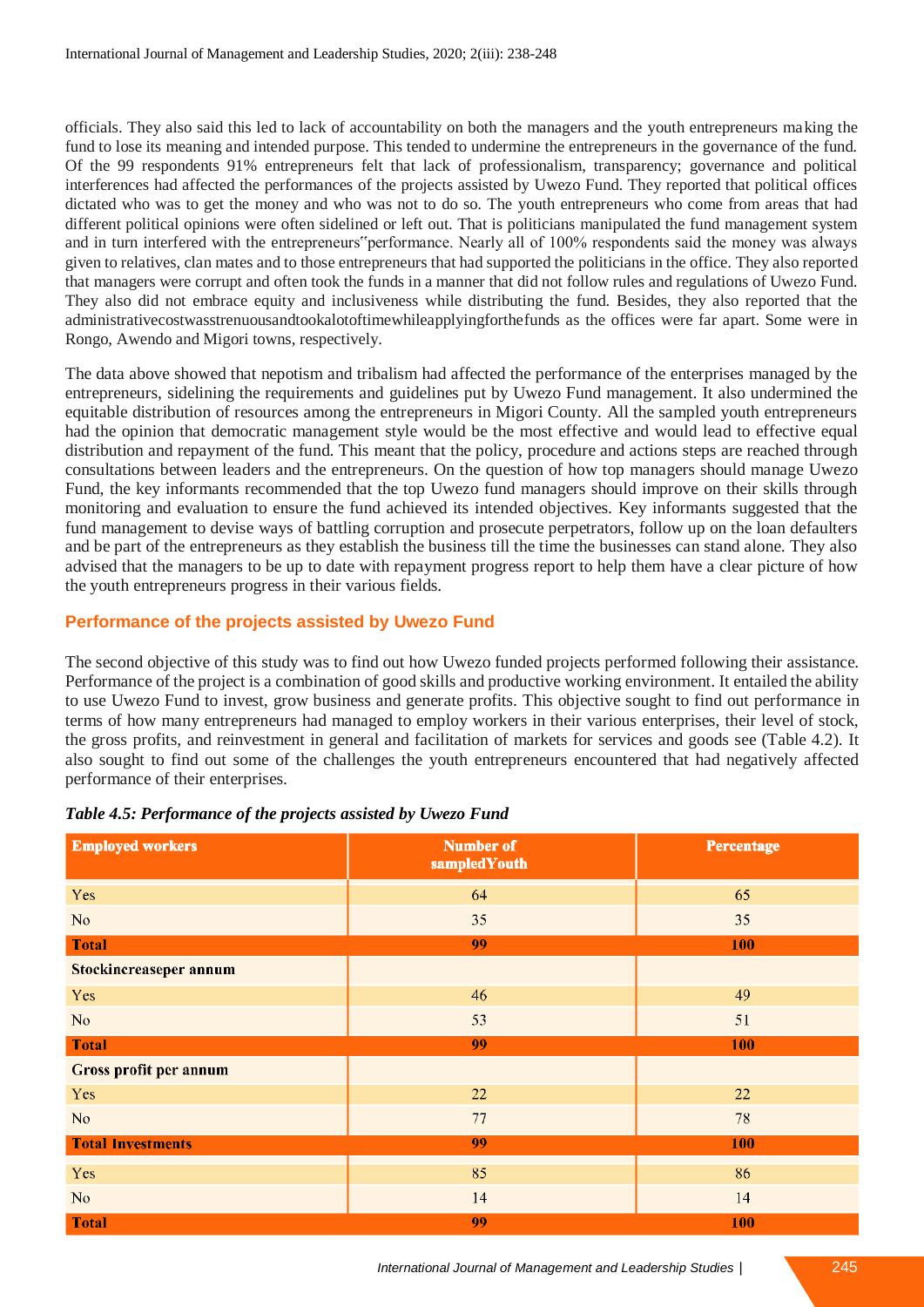officials. They also said this led to lack of accountability on both the managers and the youth entrepreneurs making the fund to lose its meaning and intended purpose. This tended to undermine the entrepreneurs in the governance of the fund. Of the 99 respondents 91% entrepreneurs felt that lack of professionalism, transparency; governance and political interferences had affected the performances of the projects assisted by Uwezo Fund. They reported that political offices dictated who was to get the money and who was not to do so. The youth entrepreneurs who come from areas that had different political opinions were often sidelined or left out. That is politicians manipulated the fund management system and in turn interfered with the entrepreneurs"performance. Nearly all of 100% respondents said the money was always given to relatives, clan mates and to those entrepreneurs that had supported the politicians in the office. They also reported that managers were corrupt and often took the funds in a manner that did not follow rules and regulations of Uwezo Fund. They also did not embrace equity and inclusiveness while distributing the fund. Besides, they also reported that the administrativecostwasstrenuousandtookalotoftimewhileapplyingforthefunds as the offices were far apart. Some were in Rongo, Awendo and Migori towns, respectively.

The data above showed that nepotism and tribalism had affected the performance of the enterprises managed by the entrepreneurs, sidelining the requirements and guidelines put by Uwezo Fund management. It also undermined the equitable distribution of resources among the entrepreneurs in Migori County. All the sampled youth entrepreneurs had the opinion that democratic management style would be the most effective and would lead to effective equal distribution and repayment of the fund. This meant that the policy, procedure and actions steps are reached through consultations between leaders and the entrepreneurs. On the question of how top managers should manage Uwezo Fund, the key informants recommended that the top Uwezo fund managers should improve on their skills through monitoring and evaluation to ensure the fund achieved its intended objectives. Key informants suggested that the fund management to devise ways of battling corruption and prosecute perpetrators, follow up on the loan defaulters and be part of the entrepreneurs as they establish the business till the time the businesses can stand alone. They also advised that the managers to be up to date with repayment progress report to help them have a clear picture of how the youth entrepreneurs progress in their various fields.

# **Performance of the projects assisted by Uwezo Fund**

The second objective of this study was to find out how Uwezo funded projects performed following their assistance. Performance of the project is a combination of good skills and productive working environment. It entailed the ability to use Uwezo Fund to invest, grow business and generate profits. This objective sought to find out performance in terms of how many entrepreneurs had managed to employ workers in their various enterprises, their level of stock, the gross profits, and reinvestment in general and facilitation of markets for services and goods see (Table 4.2). It also sought to find out some of the challenges the youth entrepreneurs encountered that had negatively affected performance of their enterprises.

| <b>Employed workers</b>  | Number of<br>sampledYouth | Percentage |
|--------------------------|---------------------------|------------|
| Yes                      | 64                        | 65         |
| No.                      | 35                        | 35         |
| <b>Total</b>             | 99                        | 100        |
| Stockincreaseper annum   |                           |            |
| Yes                      | 46                        | 49         |
| No                       | 53                        | 51         |
| <b>Total</b>             | 99                        | 100        |
| Gross profit per annum   |                           |            |
| Yes                      | 22                        | 22         |
| N <sub>o</sub>           | 77                        | 78         |
| <b>Total Investments</b> | 99                        | 100        |
| Yes                      | 85                        | 86         |
| No.                      | 14                        | 14         |
| <b>Total</b>             | 99                        | 100        |

### *Table 4.5: Performance of the projects assisted by Uwezo Fund*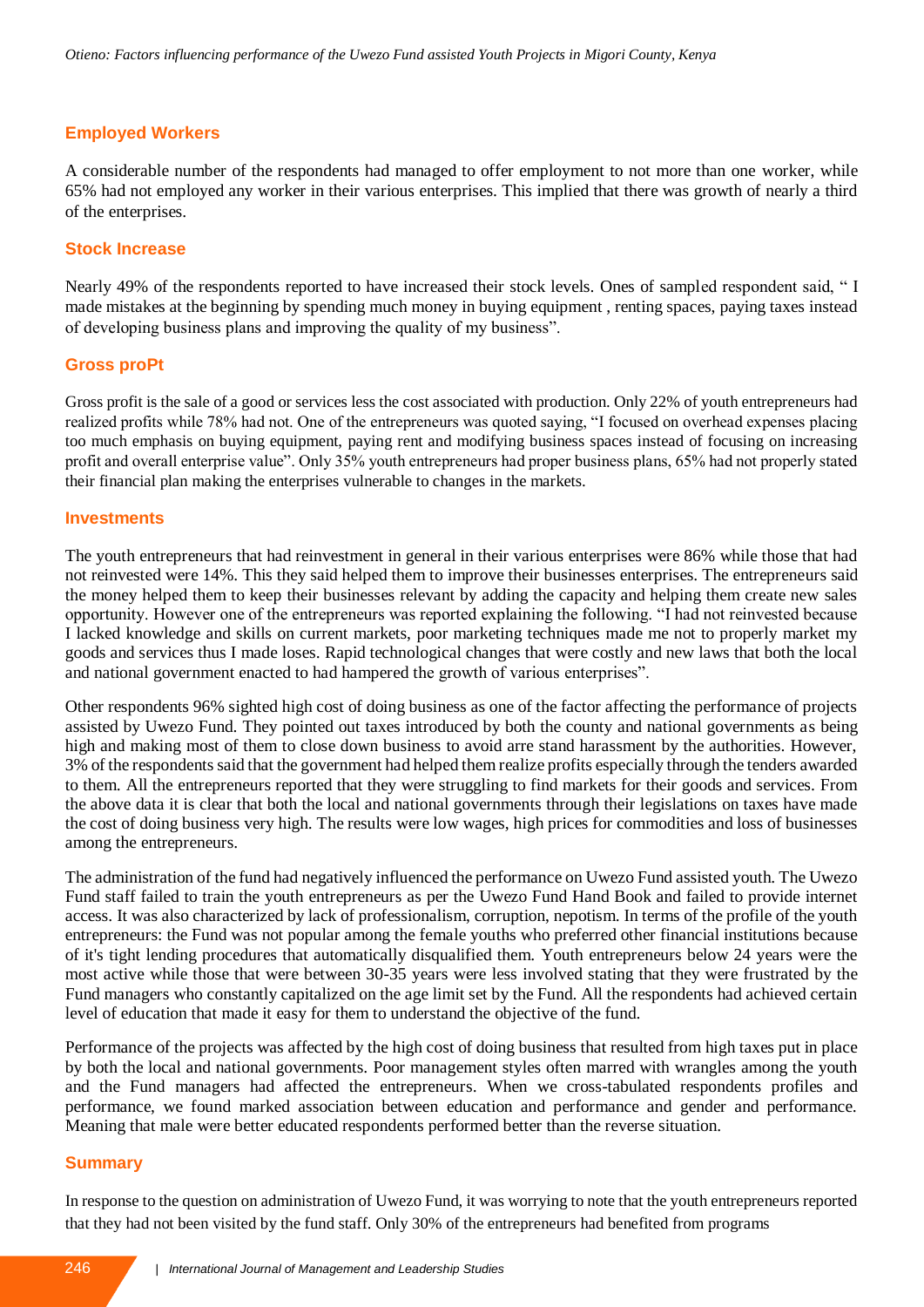## **Employed Workers**

A considerable number of the respondents had managed to offer employment to not more than one worker, while 65% had not employed any worker in their various enterprises. This implied that there was growth of nearly a third of the enterprises.

## **Stock Increase**

Nearly 49% of the respondents reported to have increased their stock levels. Ones of sampled respondent said, " I made mistakes at the beginning by spending much money in buying equipment , renting spaces, paying taxes instead of developing business plans and improving the quality of my business".

#### **Gross proPt**

Gross profit is the sale of a good or services less the cost associated with production. Only 22% of youth entrepreneurs had realized profits while 78% had not. One of the entrepreneurs was quoted saying, "I focused on overhead expenses placing too much emphasis on buying equipment, paying rent and modifying business spaces instead of focusing on increasing profit and overall enterprise value". Only 35% youth entrepreneurs had proper business plans, 65% had not properly stated their financial plan making the enterprises vulnerable to changes in the markets.

#### **Investments**

The youth entrepreneurs that had reinvestment in general in their various enterprises were 86% while those that had not reinvested were 14%. This they said helped them to improve their businesses enterprises. The entrepreneurs said the money helped them to keep their businesses relevant by adding the capacity and helping them create new sales opportunity. However one of the entrepreneurs was reported explaining the following. "I had not reinvested because I lacked knowledge and skills on current markets, poor marketing techniques made me not to properly market my goods and services thus I made loses. Rapid technological changes that were costly and new laws that both the local and national government enacted to had hampered the growth of various enterprises".

Other respondents 96% sighted high cost of doing business as one of the factor affecting the performance of projects assisted by Uwezo Fund. They pointed out taxes introduced by both the county and national governments as being high and making most of them to close down business to avoid arre stand harassment by the authorities. However, 3% of the respondents said that the government had helped them realize profits especially through the tenders awarded to them. All the entrepreneurs reported that they were struggling to find markets for their goods and services. From the above data it is clear that both the local and national governments through their legislations on taxes have made the cost of doing business very high. The results were low wages, high prices for commodities and loss of businesses among the entrepreneurs.

The administration of the fund had negatively influenced the performance on Uwezo Fund assisted youth. The Uwezo Fund staff failed to train the youth entrepreneurs as per the Uwezo Fund Hand Book and failed to provide internet access. It was also characterized by lack of professionalism, corruption, nepotism. In terms of the profile of the youth entrepreneurs: the Fund was not popular among the female youths who preferred other financial institutions because of it's tight lending procedures that automatically disqualified them. Youth entrepreneurs below 24 years were the most active while those that were between 30-35 years were less involved stating that they were frustrated by the Fund managers who constantly capitalized on the age limit set by the Fund. All the respondents had achieved certain level of education that made it easy for them to understand the objective of the fund.

Performance of the projects was affected by the high cost of doing business that resulted from high taxes put in place by both the local and national governments. Poor management styles often marred with wrangles among the youth and the Fund managers had affected the entrepreneurs. When we cross-tabulated respondents profiles and performance, we found marked association between education and performance and gender and performance. Meaning that male were better educated respondents performed better than the reverse situation.

### **Summary**

In response to the question on administration of Uwezo Fund, it was worrying to note that the youth entrepreneurs reported that they had not been visited by the fund staff. Only 30% of the entrepreneurs had benefited from programs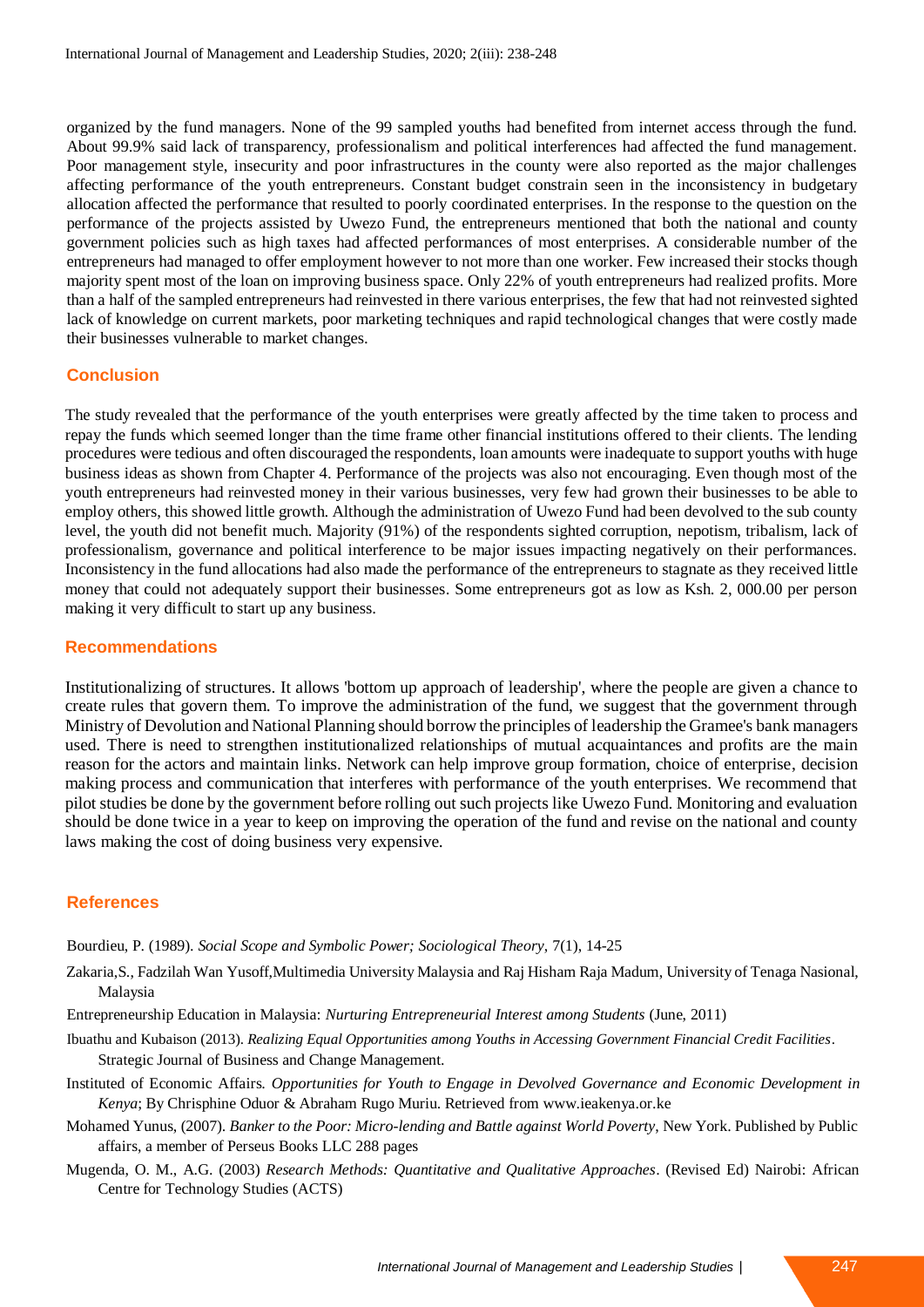organized by the fund managers. None of the 99 sampled youths had benefited from internet access through the fund. About 99.9% said lack of transparency, professionalism and political interferences had affected the fund management. Poor management style, insecurity and poor infrastructures in the county were also reported as the major challenges affecting performance of the youth entrepreneurs. Constant budget constrain seen in the inconsistency in budgetary allocation affected the performance that resulted to poorly coordinated enterprises. In the response to the question on the performance of the projects assisted by Uwezo Fund, the entrepreneurs mentioned that both the national and county government policies such as high taxes had affected performances of most enterprises. A considerable number of the entrepreneurs had managed to offer employment however to not more than one worker. Few increased their stocks though majority spent most of the loan on improving business space. Only 22% of youth entrepreneurs had realized profits. More than a half of the sampled entrepreneurs had reinvested in there various enterprises, the few that had not reinvested sighted lack of knowledge on current markets, poor marketing techniques and rapid technological changes that were costly made their businesses vulnerable to market changes.

#### **Conclusion**

The study revealed that the performance of the youth enterprises were greatly affected by the time taken to process and repay the funds which seemed longer than the time frame other financial institutions offered to their clients. The lending procedures were tedious and often discouraged the respondents, loan amounts were inadequate to support youths with huge business ideas as shown from Chapter 4. Performance of the projects was also not encouraging. Even though most of the youth entrepreneurs had reinvested money in their various businesses, very few had grown their businesses to be able to employ others, this showed little growth. Although the administration of Uwezo Fund had been devolved to the sub county level, the youth did not benefit much. Majority (91%) of the respondents sighted corruption, nepotism, tribalism, lack of professionalism, governance and political interference to be major issues impacting negatively on their performances. Inconsistency in the fund allocations had also made the performance of the entrepreneurs to stagnate as they received little money that could not adequately support their businesses. Some entrepreneurs got as low as Ksh. 2, 000.00 per person making it very difficult to start up any business.

#### **Recommendations**

Institutionalizing of structures. It allows 'bottom up approach of leadership', where the people are given a chance to create rules that govern them. To improve the administration of the fund, we suggest that the government through Ministry of Devolution and National Planning should borrow the principles of leadership the Gramee's bank managers used. There is need to strengthen institutionalized relationships of mutual acquaintances and profits are the main reason for the actors and maintain links. Network can help improve group formation, choice of enterprise, decision making process and communication that interferes with performance of the youth enterprises. We recommend that pilot studies be done by the government before rolling out such projects like Uwezo Fund. Monitoring and evaluation should be done twice in a year to keep on improving the operation of the fund and revise on the national and county laws making the cost of doing business very expensive.

### **References**

Bourdieu, P. (1989). *Social Scope and Symbolic Power; Sociological Theory*, 7(1), 14-25

- Zakaria,S., Fadzilah Wan Yusoff,Multimedia University Malaysia and Raj Hisham Raja Madum, University of Tenaga Nasional, Malaysia
- Entrepreneurship Education in Malaysia: *Nurturing Entrepreneurial Interest among Students* (June, 2011)
- Ibuathu and Kubaison (2013). *Realizing Equal Opportunities among Youths in Accessing Government Financial Credit Facilities*. Strategic Journal of Business and Change Management.
- Instituted of Economic Affairs. *Opportunities for Youth to Engage in Devolved Governance and Economic Development in Kenya*; By Chrisphine Oduor & Abraham Rugo Muriu. Retrieved from www.ieakenya.or.ke
- Mohamed Yunus, (2007). *Banker to the Poor: Micro-lending and Battle against World Poverty*, New York. Published by Public affairs, a member of Perseus Books LLC 288 pages
- Mugenda, O. M., A.G. (2003) *Research Methods: Quantitative and Qualitative Approaches*. (Revised Ed) Nairobi: African Centre for Technology Studies (ACTS)